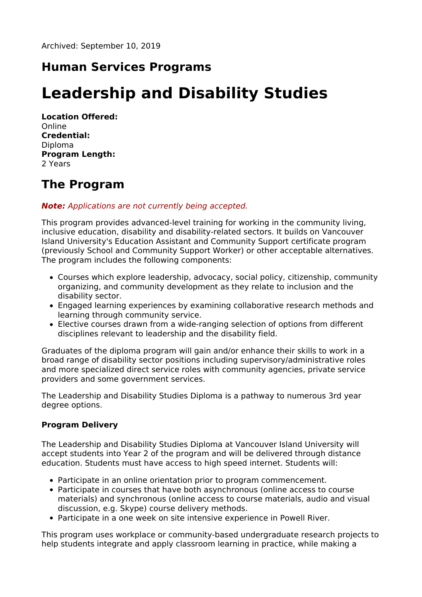# **Human Services Programs**

# **Leadership and Disability Studies**

**Location Offered:** Online **Credential:** Diploma **Program Length:** 2 Years

### **The Program**

#### **Note:** Applications are not currently being accepted.

This program provides advanced-level training for working in the community living, inclusive education, disability and disability-related sectors. It builds on Vancouver Island University's Education Assistant and Community Support certificate program (previously School and Community Support Worker) or other acceptable alternatives. The program includes the following components:

- Courses which explore leadership, advocacy, social policy, citizenship, community organizing, and community development as they relate to inclusion and the disability sector.
- Engaged learning experiences by examining collaborative research methods and learning through community service.
- Elective courses drawn from a wide-ranging selection of options from different disciplines relevant to leadership and the disability field.

Graduates of the diploma program will gain and/or enhance their skills to work in a broad range of disability sector positions including supervisory/administrative roles and more specialized direct service roles with community agencies, private service providers and some government services.

The Leadership and Disability Studies Diploma is a pathway to numerous 3rd year degree options.

#### **Program Delivery**

The Leadership and Disability Studies Diploma at Vancouver Island University will accept students into Year 2 of the program and will be delivered through distance education. Students must have access to high speed internet. Students will:

- Participate in an online orientation prior to program commencement.
- Participate in courses that have both asynchronous (online access to course materials) and synchronous (online access to course materials, audio and visual discussion, e.g. Skype) course delivery methods.
- Participate in a one week on site intensive experience in Powell River.

This program uses workplace or community-based undergraduate research projects to help students integrate and apply classroom learning in practice, while making a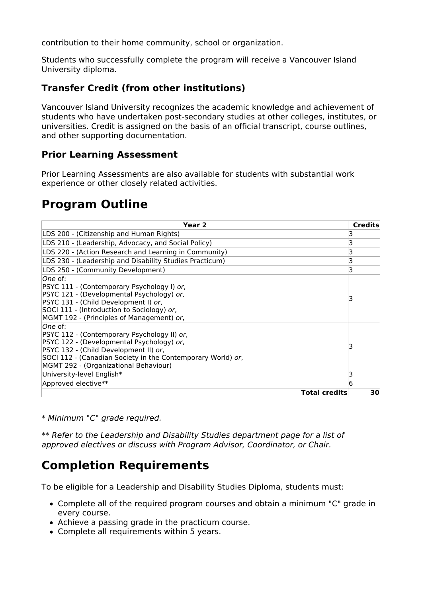contribution to their home community, school or organization.

Students who successfully complete the program will receive a Vancouver Island University diploma.

### **Transfer Credit (from other institutions)**

Vancouver Island University recognizes the academic knowledge and achievement of students who have undertaken post-secondary studies at other colleges, institutes, or universities. Credit is assigned on the basis of an official transcript, course outlines, and other supporting documentation.

#### **Prior Learning Assessment**

Prior Learning Assessments are also available for students with substantial work experience or other closely related activities.

### **Program Outline**

| Year 2                                                                                                                                                                                                                                                | <b>Credits</b> |
|-------------------------------------------------------------------------------------------------------------------------------------------------------------------------------------------------------------------------------------------------------|----------------|
| LDS 200 - (Citizenship and Human Rights)                                                                                                                                                                                                              | 3              |
| LDS 210 - (Leadership, Advocacy, and Social Policy)                                                                                                                                                                                                   | 3              |
| LDS 220 - (Action Research and Learning in Community)                                                                                                                                                                                                 | 3              |
| LDS 230 - (Leadership and Disability Studies Practicum)                                                                                                                                                                                               | 3              |
| LDS 250 - (Community Development)                                                                                                                                                                                                                     | 3              |
| lOne of:<br>PSYC 111 - (Contemporary Psychology I) or,<br>PSYC 121 - (Developmental Psychology) or,<br>PSYC 131 - (Child Development I) or,<br>SOCI 111 - (Introduction to Sociology) or,<br>MGMT 192 - (Principles of Management) or,                |                |
| lOne of:<br>PSYC 112 - (Contemporary Psychology II) or,<br>PSYC 122 - (Developmental Psychology) or,<br>PSYC 132 - (Child Development II) or,<br>SOCI 112 - (Canadian Society in the Contemporary World) or,<br>MGMT 292 - (Organizational Behaviour) | 3              |
| University-level English*                                                                                                                                                                                                                             | 3              |
| Approved elective**                                                                                                                                                                                                                                   | 6              |
| <b>Total credits</b>                                                                                                                                                                                                                                  | 30             |

\* Minimum "C" grade required.

\*\* Refer to the Leadership and Disability Studies department page for a list of approved electives or discuss with Program Advisor, Coordinator, or Chair.

### **Completion Requirements**

To be eligible for a Leadership and Disability Studies Diploma, students must:

- Complete all of the required program courses and obtain a minimum "C" grade in every course.
- Achieve a passing grade in the practicum course.
- Complete all requirements within 5 years.